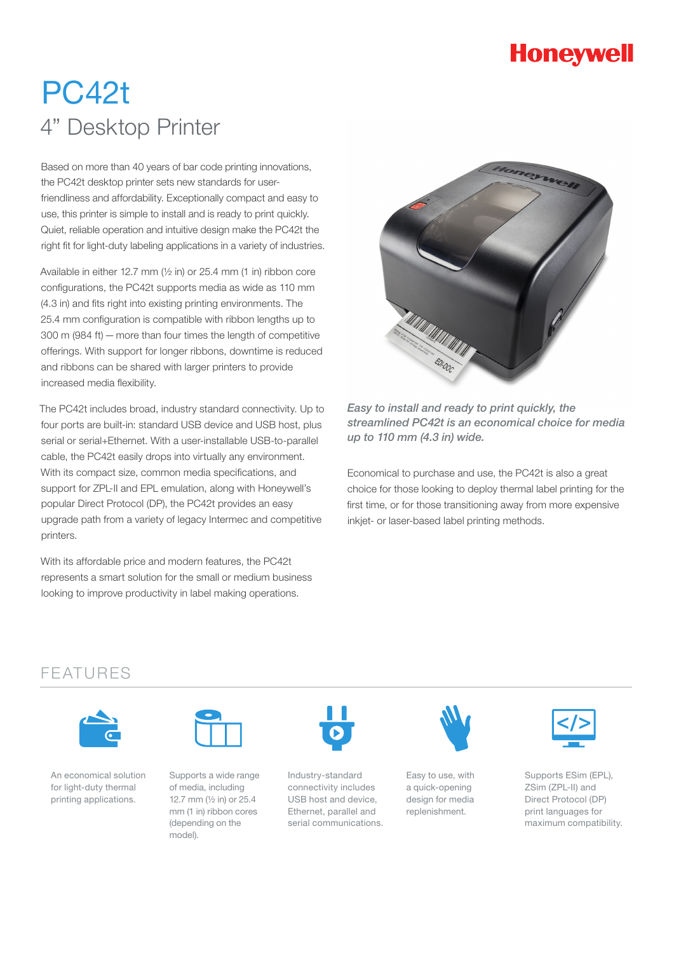# **Honeywell**

# PC42t 4" Desktop Printer

Based on more than 40 years of bar code printing innovations, the PC42t desktop printer sets new standards for userfriendliness and affordability. Exceptionally compact and easy to use, this printer is simple to install and is ready to print quickly. Quiet, reliable operation and intuitive design make the PC42t the right fit for light-duty labeling applications in a variety of industries.

Available in either 12.7 mm ( $\frac{1}{2}$  in) or 25.4 mm (1 in) ribbon core configurations, the PC42t supports media as wide as 110 mm (4.3 in) and fits right into existing printing environments. The 25.4 mm configuration is compatible with ribbon lengths up to 300 m (984 ft)—more than four times the length of competitive offerings. With support for longer ribbons, downtime is reduced and ribbons can be shared with larger printers to provide increased media flexibility.

The PC42t includes broad, industry standard connectivity. Up to four ports are built-in: standard USB device and USB host, plus serial or serial+Ethernet. With a user-installable USB-to-parallel cable, the PC42t easily drops into virtually any environment. With its compact size, common media specifications, and support for ZPL-II and EPL emulation, along with Honeywell's popular Direct Protocol (DP), the PC42t provides an easy upgrade path from a variety of legacy Intermec and competitive printers.

With its affordable price and modern features, the PC42t represents a smart solution for the small or medium business looking to improve productivity in label making operations.



*Easy to install and ready to print quickly, the streamlined PC42t is an economical choice for media up to 110 mm (4.3 in) wide.*

Economical to purchase and use, the PC42t is also a great choice for those looking to deploy thermal label printing for the first time, or for those transitioning away from more expensive inkjet- or laser-based label printing methods.

# FEATURES



An economical solution for light-duty thermal printing applications.



Supports a wide range of media, including 12.7 mm (½ in) or 25.4 mm (1 in) ribbon cores (depending on the model).



Industry-standard connectivity includes USB host and device, Ethernet, parallel and serial communications.



Easy to use, with a quick-opening design for media replenishment.



Supports ESim (EPL), ZSim (ZPL-II) and Direct Protocol (DP) print languages for maximum compatibility.